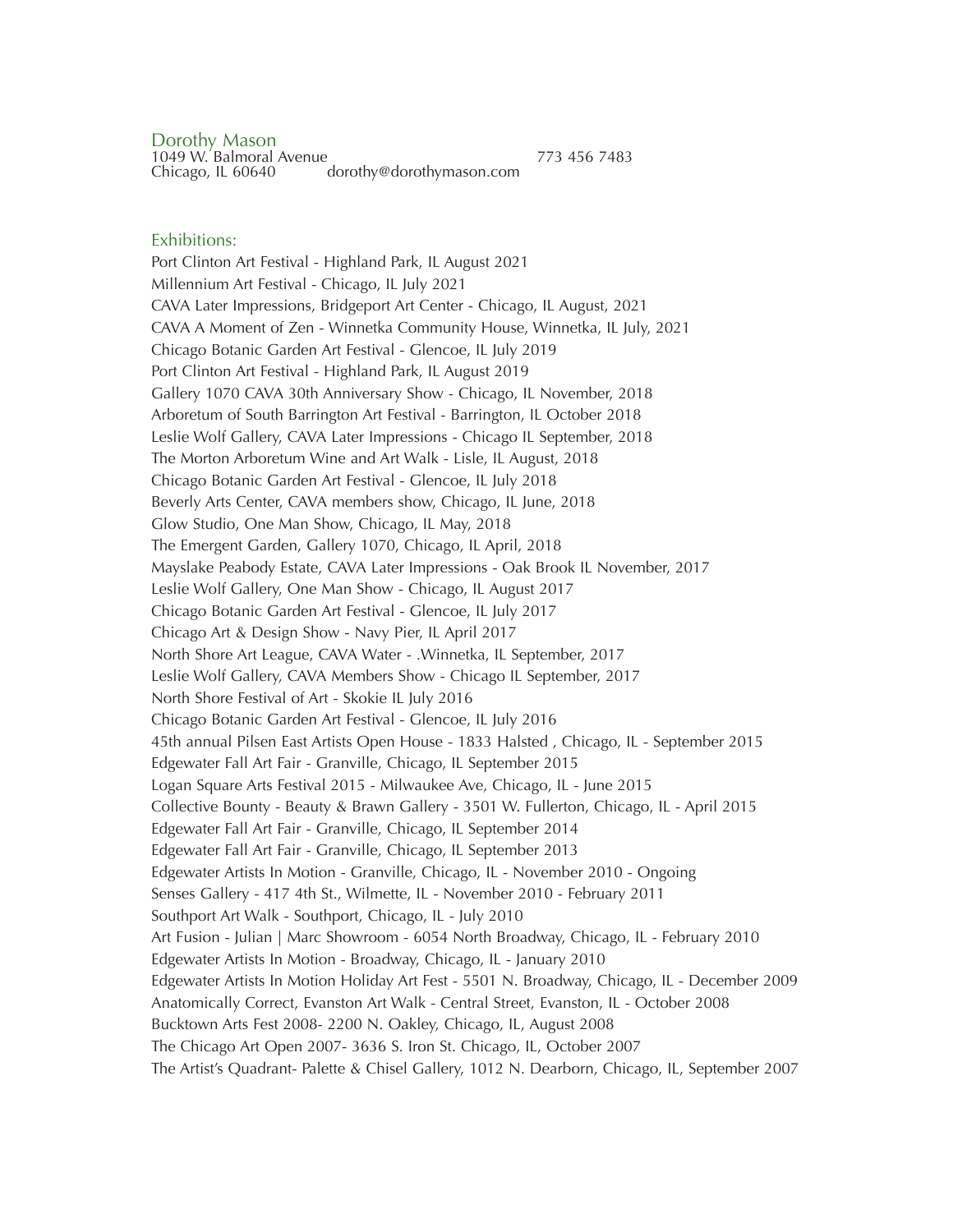Dorothy Mason 1049 W. Balmoral Avenue 773 456 7483<br>Chicago, IL 60640 dorothy@dorothymason.com dorothy@dorothymason.com

### Exhibitions:

Port Clinton Art Festival - Highland Park, IL August 2021 Millennium Art Festival - Chicago, IL July 2021 CAVA Later Impressions, Bridgeport Art Center - Chicago, IL August, 2021 CAVA A Moment of Zen - Winnetka Community House, Winnetka, IL July, 2021 Chicago Botanic Garden Art Festival - Glencoe, IL July 2019 Port Clinton Art Festival - Highland Park, IL August 2019 Gallery 1070 CAVA 30th Anniversary Show - Chicago, IL November, 2018 Arboretum of South Barrington Art Festival - Barrington, IL October 2018 Leslie Wolf Gallery, CAVA Later Impressions - Chicago IL September, 2018 The Morton Arboretum Wine and Art Walk - Lisle, IL August, 2018 Chicago Botanic Garden Art Festival - Glencoe, IL July 2018 Beverly Arts Center, CAVA members show, Chicago, IL June, 2018 Glow Studio, One Man Show, Chicago, IL May, 2018 The Emergent Garden, Gallery 1070, Chicago, IL April, 2018 Mayslake Peabody Estate, CAVA Later Impressions - Oak Brook IL November, 2017 Leslie Wolf Gallery, One Man Show - Chicago, IL August 2017 Chicago Botanic Garden Art Festival - Glencoe, IL July 2017 Chicago Art & Design Show - Navy Pier, IL April 2017 North Shore Art League, CAVA Water - .Winnetka, IL September, 2017 Leslie Wolf Gallery, CAVA Members Show - Chicago IL September, 2017 North Shore Festival of Art - Skokie IL July 2016 Chicago Botanic Garden Art Festival - Glencoe, IL July 2016 45th annual Pilsen East Artists Open House - 1833 Halsted , Chicago, IL - September 2015 Edgewater Fall Art Fair - Granville, Chicago, IL September 2015 Logan Square Arts Festival 2015 - Milwaukee Ave, Chicago, IL - June 2015 Collective Bounty - Beauty & Brawn Gallery - 3501 W. Fullerton, Chicago, IL - April 2015 Edgewater Fall Art Fair - Granville, Chicago, IL September 2014 Edgewater Fall Art Fair - Granville, Chicago, IL September 2013 Edgewater Artists In Motion - Granville, Chicago, IL - November 2010 - Ongoing Senses Gallery - 417 4th St., Wilmette, IL - November 2010 - February 2011 Southport Art Walk - Southport, Chicago, IL - July 2010 Art Fusion - Julian | Marc Showroom - 6054 North Broadway, Chicago, IL - February 2010 Edgewater Artists In Motion - Broadway, Chicago, IL - January 2010 Edgewater Artists In Motion Holiday Art Fest - 5501 N. Broadway, Chicago, IL - December 2009 Anatomically Correct, Evanston Art Walk - Central Street, Evanston, IL - October 2008 Bucktown Arts Fest 2008- 2200 N. Oakley, Chicago, IL, August 2008 The Chicago Art Open 2007- 3636 S. Iron St. Chicago, IL, October 2007 The Artist's Quadrant- Palette & Chisel Gallery, 1012 N. Dearborn, Chicago, IL, September 2007